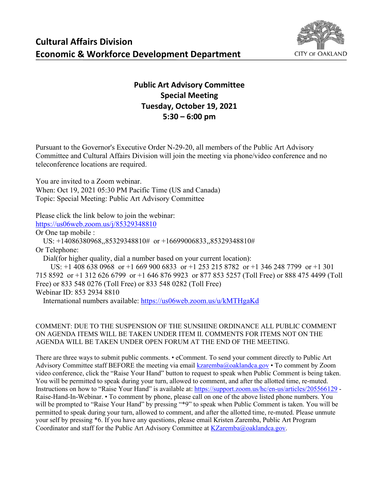

## **Public Art Advisory Committee Special Meeting Tuesday, October 19, 2021 5:30 – 6:00 pm**

Pursuant to the Governor's Executive Order N-29-20, all members of the Public Art Advisory Committee and Cultural Affairs Division will join the meeting via phone/video conference and no teleconference locations are required.

You are invited to a Zoom webinar.

When: Oct 19, 2021 05:30 PM Pacific Time (US and Canada) Topic: Special Meeting: Public Art Advisory Committee

Please click the link below to join the webinar:

<https://us06web.zoom.us/j/85329348810>

Or One tap mobile :

US: +14086380968,,85329348810# or +16699006833,,85329348810#

Or Telephone:

Dial(for higher quality, dial a number based on your current location):

 US: +1 408 638 0968 or +1 669 900 6833 or +1 253 215 8782 or +1 346 248 7799 or +1 301 715 8592 or +1 312 626 6799 or +1 646 876 9923 or 877 853 5257 (Toll Free) or 888 475 4499 (Toll Free) or 833 548 0276 (Toll Free) or 833 548 0282 (Toll Free) Webinar ID: 853 2934 8810

International numbers available:<https://us06web.zoom.us/u/kMTHgaKd>

## COMMENT: DUE TO THE SUSPENSION OF THE SUNSHINE ORDINANCE ALL PUBLIC COMMENT ON AGENDA ITEMS WILL BE TAKEN UNDER ITEM II. COMMENTS FOR ITEMS NOT ON THE AGENDA WILL BE TAKEN UNDER OPEN FORUM AT THE END OF THE MEETING.

There are three ways to submit public comments. • eComment. To send your comment directly to Public Art Advisory Committee staff BEFORE the meeting via email [kzaremba@oaklandca.gov](mailto:kzaremba@oaklandca.gov) • To comment by Zoom video conference, click the "Raise Your Hand" button to request to speak when Public Comment is being taken. You will be permitted to speak during your turn, allowed to comment, and after the allotted time, re-muted. Instructions on how to "Raise Your Hand" is available at:<https://support.zoom.us/hc/en-us/articles/205566129> - Raise-Hand-In-Webinar. • To comment by phone, please call on one of the above listed phone numbers. You will be prompted to "Raise Your Hand" by pressing "\*9" to speak when Public Comment is taken. You will be permitted to speak during your turn, allowed to comment, and after the allotted time, re-muted. Please unmute your self by pressing \*6. If you have any questions, please email Kristen Zaremba, Public Art Program Coordinator and staff for the Public Art Advisory Committee at  $KZ$ aremba $@$ oaklandca.gov.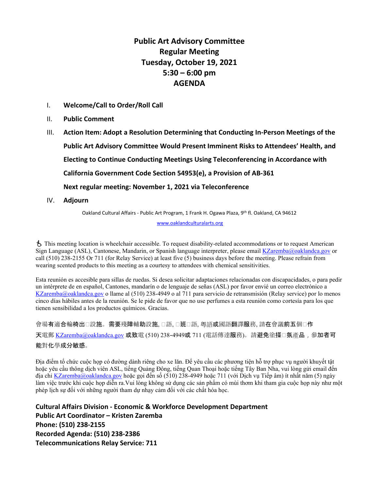## **Public Art Advisory Committee Regular Meeting Tuesday, October 19, 2021 5:30 – 6:00 pm AGENDA**

- I. **Welcome/Call to Order/Roll Call**
- II. **Public Comment**
- III. **Action Item: Adopt a Resolution Determining that Conducting In-Person Meetings of the Public Art Advisory Committee Would Present Imminent Risks to Attendees' Health, and Electing to Continue Conducting Meetings Using Teleconferencing in Accordance with California Government Code Section 54953(e), a Provision of AB-361 Next regular meeting: November 1, 2021 via Teleconference**
- IV. **Adjourn**

Oakland Cultural Affairs - Public Art Program, 1 Frank H. Ogawa Plaza, 9th fl. Oakland, CA 94612

[www.oaklandculturalarts.org](http://www.oaklandculturalarts.org/)

 This meeting location is wheelchair accessible. To request disability-related accommodations or to request American Sign Language (ASL), Cantonese, Mandarin, or Spanish language interpreter, please email [KZaremba@oaklandca.gov](mailto:KZaremba@oaklandca.gov) or call (510) 238-2155 Or 711 (for Relay Service) at least five (5) business days before the meeting. Please refrain from wearing scented products to this meeting as a courtesy to attendees with chemical sensitivities.

Esta reunión es accesible para sillas de ruedas. Si desea solicitar adaptaciones relacionadas con discapacidades, o para pedir un intérprete de en español, Cantones, mandarín o de lenguaje de señas (ASL) por favor envié un correo electrónico a [KZaremba@oaklandca.gov](mailto:KZaremba@oaklandca.gov) o llame al (510) 238-4949 o al 711 para servicio de retransmisión (Relay service) por lo menos cinco días hábiles antes de la reunión. Se le pide de favor que no use perfumes a esta reunión como cortesía para los que tienen sensibilidad a los productos químicos. Gracias.

會場有適合輪椅出□設施。需要殘障輔助設施, □語, □班□語, 粵語或國語翻譯服務, 請在會議前五個□作 天電郵 [KZaremba@oaklandca.gov](mailto:KZaremba@oaklandca.gov) 或致電 (510) 238-4949或 711 (電話傳達服務)。請避免塗搽□氛產品, 參加者可 能對化學成分敏感。

Địa điểm tổ chức cuộc họp có đường dành riêng cho xe lăn. Để yêu cầu các phương tiện hỗ trợ phục vụ người khuyết tật hoặc yêu cầu thông dịch viên ASL, tiếng Quảng Đông, tiếng Quan Thoại hoặc tiếng Tây Ban Nha, vui lòng gửi email đến địa chỉ [KZaremba@oaklandca.gov](mailto:KZaremba@oaklandca.gov) hoặc gọi đến số (510) 238-4949 hoặc 711 (với Dịch vụ Tiếp âm) ít nhất năm (5) ngày làm việc trước khi cuộc họp diễn ra.Vui lòng không sử dụng các sản phẩm có mùi thơm khi tham gia cuộc họp này như một phép lịch sự đối với những người tham dự nhạy cảm đối với các chất hóa học.

**Cultural Affairs Division - Economic & Workforce Development Department Public Art Coordinator – Kristen Zaremba Phone: (510) 238-2155 Recorded Agenda: (510) 238-2386 Telecommunications Relay Service: 711**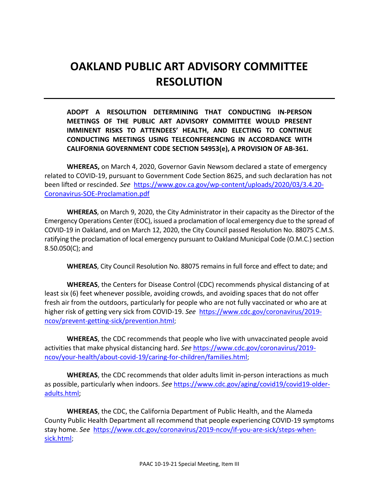## **OAKLAND PUBLIC ART ADVISORY COMMITTEE RESOLUTION**

**ADOPT A RESOLUTION DETERMINING THAT CONDUCTING IN-PERSON MEETINGS OF THE PUBLIC ART ADVISORY COMMITTEE WOULD PRESENT IMMINENT RISKS TO ATTENDEES' HEALTH, AND ELECTING TO CONTINUE CONDUCTING MEETINGS USING TELECONFERENCING IN ACCORDANCE WITH CALIFORNIA GOVERNMENT CODE SECTION 54953(e), A PROVISION OF AB-361.**

**WHEREAS,** on March 4, 2020, Governor Gavin Newsom declared a state of emergency related to COVID-19, pursuant to Government Code Section 8625, and such declaration has not been lifted or rescinded. *See* [https://www.gov.ca.gov/wp-content/uploads/2020/03/3.4.20-](https://www.gov.ca.gov/wp-content/uploads/2020/03/3.4.20-Coronavirus-SOE-Proclamation.pdf) [Coronavirus-SOE-Proclamation.pdf](https://www.gov.ca.gov/wp-content/uploads/2020/03/3.4.20-Coronavirus-SOE-Proclamation.pdf)

**WHEREAS**, on March 9, 2020, the City Administrator in their capacity as the Director of the Emergency Operations Center (EOC), issued a proclamation of local emergency due to the spread of COVID-19 in Oakland, and on March 12, 2020, the City Council passed Resolution No. 88075 C.M.S. ratifying the proclamation of local emergency pursuant to Oakland Municipal Code (O.M.C.) section 8.50.050(C); and

**WHEREAS**, City Council Resolution No. 88075 remains in full force and effect to date; and

**WHEREAS**, the Centers for Disease Control (CDC) recommends physical distancing of at least six (6) feet whenever possible, avoiding crowds, and avoiding spaces that do not offer fresh air from the outdoors, particularly for people who are not fully vaccinated or who are at higher risk of getting very sick from COVID-19. *See* [https://www.cdc.gov/coronavirus/2019](https://www.cdc.gov/coronavirus/2019-ncov/prevent-getting-sick/prevention.html) [ncov/prevent-getting-sick/prevention.html;](https://www.cdc.gov/coronavirus/2019-ncov/prevent-getting-sick/prevention.html)

**WHEREAS**, the CDC recommends that people who live with unvaccinated people avoid activities that make physical distancing hard. *See* [https://www.cdc.gov/coronavirus/2019](https://www.cdc.gov/coronavirus/2019-ncov/your-health/about-covid-19/caring-for-children/families.html) [ncov/your-health/about-covid-19/caring-for-children/families.html;](https://www.cdc.gov/coronavirus/2019-ncov/your-health/about-covid-19/caring-for-children/families.html)

**WHEREAS**, the CDC recommends that older adults limit in-person interactions as much as possible, particularly when indoors. *See* [https://www.cdc.gov/aging/covid19/covid19-older](https://www.cdc.gov/aging/covid19/covid19-older-adults.html)[adults.html;](https://www.cdc.gov/aging/covid19/covid19-older-adults.html)

**WHEREAS**, the CDC, the California Department of Public Health, and the Alameda County Public Health Department all recommend that people experiencing COVID-19 symptoms stay home. *See* [https://www.cdc.gov/coronavirus/2019-ncov/if-you-are-sick/steps-when](https://www.cdc.gov/coronavirus/2019-ncov/if-you-are-sick/steps-when-sick.html)[sick.html;](https://www.cdc.gov/coronavirus/2019-ncov/if-you-are-sick/steps-when-sick.html)